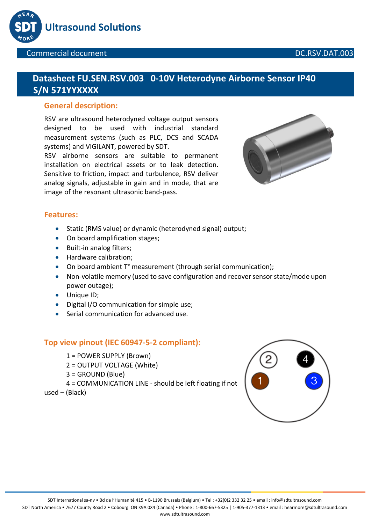



# **Datasheet FU.SEN.RSV.003 0-10V Heterodyne Airborne Sensor IP40 S/N 571YYXXXX**

### **General description:**

RSV are ultrasound heterodyned voltage output sensors designed to be used with industrial standard measurement systems (such as PLC, DCS and SCADA systems) and VIGILANT, powered by SDT.

RSV airborne sensors are suitable to permanent installation on electrical assets or to leak detection. Sensitive to friction, impact and turbulence, RSV deliver analog signals, adjustable in gain and in mode, that are image of the resonant ultrasonic band-pass.



### **Features:**

- Static (RMS value) or dynamic (heterodyned signal) output;
- On board amplification stages;
- Built-in analog filters;
- Hardware calibration;
- On board ambient T° measurement (through serial communication);
- Non-volatile memory (used to save configuration and recover sensor state/mode upon power outage);
- Unique ID;
- Digital I/O communication for simple use;
- Serial communication for advanced use.

### **Top view pinout (IEC 60947-5-2 compliant):**

- 1 = POWER SUPPLY (Brown)
- 2 = OUTPUT VOLTAGE (White)
- 3 = GROUND (Blue)
- 4 = COMMUNICATION LINE should be left floating if not
- used (Black)

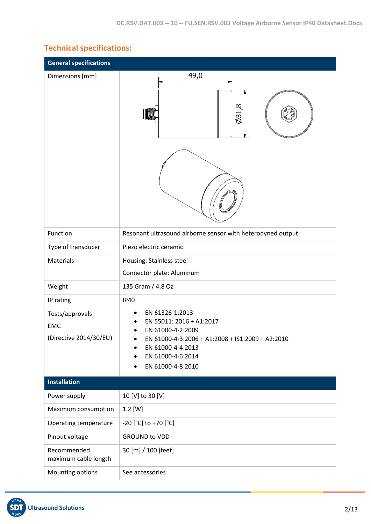# **Technical specifications:**

| <b>General specifications</b>                           |                                                                                                                                                                                                       |
|---------------------------------------------------------|-------------------------------------------------------------------------------------------------------------------------------------------------------------------------------------------------------|
| Dimensions [mm]                                         | 49,0<br>6,160                                                                                                                                                                                         |
| Function                                                | Resonant ultrasound airborne sensor with heterodyned output                                                                                                                                           |
| Type of transducer                                      | Piezo electric ceramic                                                                                                                                                                                |
| Materials                                               | Housing: Stainless steel                                                                                                                                                                              |
|                                                         | Connector plate: Aluminum                                                                                                                                                                             |
| Weight                                                  | 135 Gram / 4.8 Oz                                                                                                                                                                                     |
| IP rating                                               | <b>IP40</b>                                                                                                                                                                                           |
| Tests/approvals<br><b>EMC</b><br>(Directive 2014/30/EU) | EN 61326-1:2013<br>$\bullet$<br>EN 55011: 2016 + A1:2017<br>EN 61000-4-2:2009<br>EN 61000-4-3:2006 + A1:2008 + IS1:2009 + A2:2010<br>٠<br>EN 61000-4-4:2013<br>EN 61000-4-6:2014<br>EN 61000-4-8:2010 |
| <b>Installation</b>                                     |                                                                                                                                                                                                       |
| Power supply                                            | 10 [V] to 30 [V]                                                                                                                                                                                      |
| Maximum consumption                                     | $1.2$ [W]                                                                                                                                                                                             |
| Operating temperature                                   | -20 [°C] to +70 [°C]                                                                                                                                                                                  |
| Pinout voltage                                          | <b>GROUND to VDD</b>                                                                                                                                                                                  |
| Recommended<br>maximum cable length                     | 30 [m] / 100 [feet]                                                                                                                                                                                   |
| Mounting options                                        | See accessories                                                                                                                                                                                       |

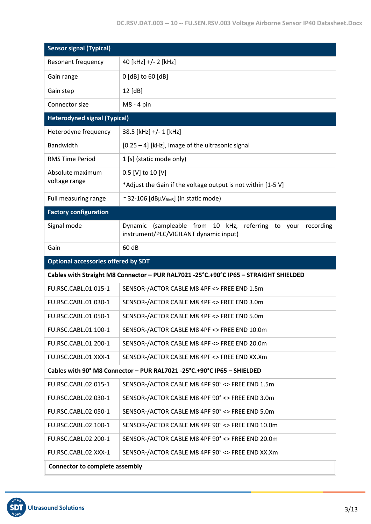| <b>Sensor signal (Typical)</b>             |                                                                                                        |
|--------------------------------------------|--------------------------------------------------------------------------------------------------------|
| Resonant frequency                         | 40 [kHz] +/- 2 [kHz]                                                                                   |
| Gain range                                 | 0 [dB] to 60 [dB]                                                                                      |
| Gain step                                  | 12 [dB]                                                                                                |
| Connector size                             | M8 - 4 pin                                                                                             |
| <b>Heterodyned signal (Typical)</b>        |                                                                                                        |
| Heterodyne frequency                       | 38.5 [kHz] +/- 1 [kHz]                                                                                 |
| Bandwidth                                  | [0.25 - 4] [kHz], image of the ultrasonic signal                                                       |
| <b>RMS Time Period</b>                     | 1 [s] (static mode only)                                                                               |
| Absolute maximum                           | 0.5 [V] to 10 [V]                                                                                      |
| voltage range                              | *Adjust the Gain if the voltage output is not within [1-5 V]                                           |
| Full measuring range                       | ~ 32-106 [dBµV <sub>RMS</sub> ] (in static mode)                                                       |
| <b>Factory configuration</b>               |                                                                                                        |
| Signal mode                                | Dynamic (sampleable from 10 kHz, referring to your recording<br>instrument/PLC/VIGILANT dynamic input) |
| Gain                                       | 60 dB                                                                                                  |
| <b>Optional accessories offered by SDT</b> |                                                                                                        |
|                                            | Cables with Straight M8 Connector - PUR RAL7021 -25°C.+90°C IP65 - STRAIGHT SHIELDED                   |
| FU.RSC.CABL.01.015-1                       | SENSOR-/ACTOR CABLE M8 4PF <> FREE END 1.5m                                                            |
| FU.RSC.CABL.01.030-1                       | SENSOR-/ACTOR CABLE M8 4PF <> FREE END 3.0m                                                            |
| FU.RSC.CABL.01.050-1                       | SENSOR-/ACTOR CABLE M8 4PF <> FREE END 5.0m                                                            |
| FU.RSC.CABL.01.100-1                       | SENSOR-/ACTOR CABLE M8 4PF <> FREE END 10.0m                                                           |
| FU.RSC.CABL.01.200-1                       | SENSOR-/ACTOR CABLE M8 4PF <> FREE END 20.0m                                                           |
| FU.RSC.CABL.01.XXX-1                       | SENSOR-/ACTOR CABLE M8 4PF <> FREE END XX.Xm                                                           |
|                                            | Cables with 90° M8 Connector - PUR RAL7021 -25°C.+90°C IP65 - SHIELDED                                 |
| FU.RSC.CABL.02.015-1                       | SENSOR-/ACTOR CABLE M8 4PF 90° <> FREE END 1.5m                                                        |
| FU.RSC.CABL.02.030-1                       | SENSOR-/ACTOR CABLE M8 4PF 90° <> FREE END 3.0m                                                        |
| FU.RSC.CABL.02.050-1                       | SENSOR-/ACTOR CABLE M8 4PF 90° <> FREE END 5.0m                                                        |
| FU.RSC.CABL.02.100-1                       | SENSOR-/ACTOR CABLE M8 4PF 90° <> FREE END 10.0m                                                       |
| FU.RSC.CABL.02.200-1                       | SENSOR-/ACTOR CABLE M8 4PF 90° <> FREE END 20.0m                                                       |
| FU.RSC.CABL.02.XXX-1                       | SENSOR-/ACTOR CABLE M8 4PF 90° <> FREE END XX.Xm                                                       |
| <b>Connector to complete assembly</b>      |                                                                                                        |

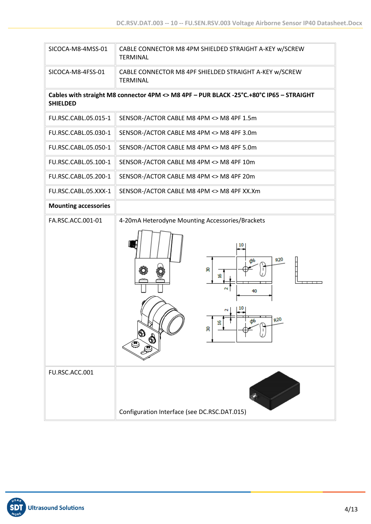| SICOCA-M8-4MSS-01           | CABLE CONNECTOR M8 4PM SHIELDED STRAIGHT A-KEY w/SCREW<br><b>TERMINAL</b>                           |
|-----------------------------|-----------------------------------------------------------------------------------------------------|
| SICOCA-M8-4FSS-01           | CABLE CONNECTOR M8 4PF SHIELDED STRAIGHT A-KEY w/SCREW<br><b>TERMINAL</b>                           |
| <b>SHIELDED</b>             | Cables with straight M8 connector 4PM <> M8 4PF - PUR BLACK -25°C.+80°C IP65 - STRAIGHT             |
| FU.RSC.CABL.05.015-1        | SENSOR-/ACTOR CABLE M8 4PM <> M8 4PF 1.5m                                                           |
| FU.RSC.CABL.05.030-1        | SENSOR-/ACTOR CABLE M8 4PM <> M8 4PF 3.0m                                                           |
| FU.RSC.CABL.05.050-1        | SENSOR-/ACTOR CABLE M8 4PM <> M8 4PF 5.0m                                                           |
| FU.RSC.CABL.05.100-1        | SENSOR-/ACTOR CABLE M8 4PM <> M8 4PF 10m                                                            |
| FU.RSC.CABL.05.200-1        | SENSOR-/ACTOR CABLE M8 4PM <> M8 4PF 20m                                                            |
| FU.RSC.CABL.05.XXX-1        | SENSOR-/ACTOR CABLE M8 4PM <> M8 4PF XX.Xm                                                          |
| <b>Mounting accessories</b> |                                                                                                     |
| FA.RSC.ACC.001-01           | 4-20mA Heterodyne Mounting Accessories/Brackets<br>R20<br>ສ<br>2<br>40<br>R <sub>20</sub><br>٩<br>ຂ |
| FU.RSC.ACC.001              | Configuration Interface (see DC.RSC.DAT.015)                                                        |

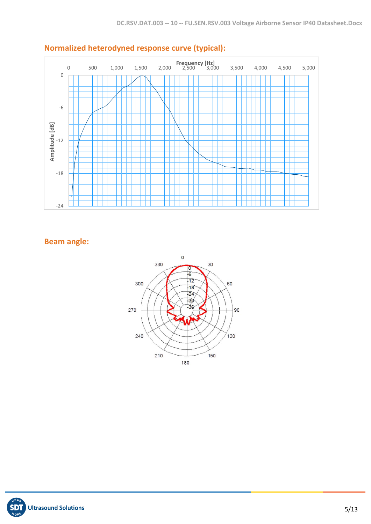

# **Normalized heterodyned response curve (typical):**

## **Beam angle:**



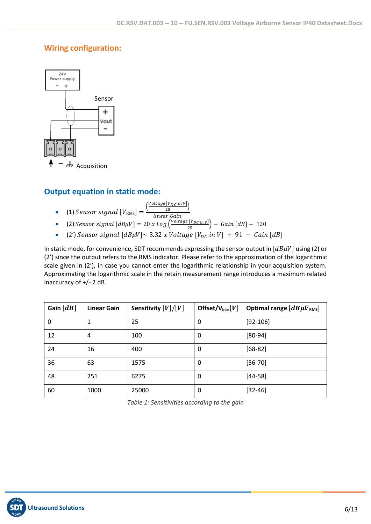## **Wiring configuration:**



## **Output equation in static mode:**

- (1) Sensor signal  $[V<sub>RMS</sub>] =$ (  $\frac{Voltage \, [V_{DC} \, in \, V]}{25}$ linear Gain
- (2) Sensor signal  $[dB\mu V] = 20 x Log \left( \frac{Voltage [V_{DC} in v]}{25} \right) Gain [dB] + 120$
- (2')  $Sensor$  signal  $[dB\mu V] \sim 3.32$  x  $Voltage$   $[V_{DC}$  in  $V] + 91 Gain[dB]$

In static mode, for convenience, SDT recommends expressing the sensor output in  $[dB\mu V]$  using (2) or (2') since the output refers to the RMS indicator. Please refer to the approximation of the logarithmic scale given in (2'), in case you cannot enter the logarithmic relationship in your acquisition system. Approximating the logarithmic scale in the retain measurement range introduces a maximum related inaccuracy of +/- 2 dB.

| Gain $\lfloor dB \rfloor$ | <b>Linear Gain</b> | Sensitivity $[V]/[V]$ | Offset/ $V_{bias}[V]$ | Optimal range $\left[dB\mu V_{RMS}\right]$ |
|---------------------------|--------------------|-----------------------|-----------------------|--------------------------------------------|
| 0                         |                    | 25                    | 0                     | $[92-106]$                                 |
| 12                        | 4                  | 100                   | 0                     | $[80-94]$                                  |
| 24                        | 16                 | 400                   | 0                     | $[68-82]$                                  |
| 36                        | 63                 | 1575                  | 0                     | $[56 - 70]$                                |
| 48                        | 251                | 6275                  | 0                     | $[44-58]$                                  |
| 60                        | 1000               | 25000                 | 0                     | $[32 - 46]$                                |

*Table 1: Sensitivities according to the gain*

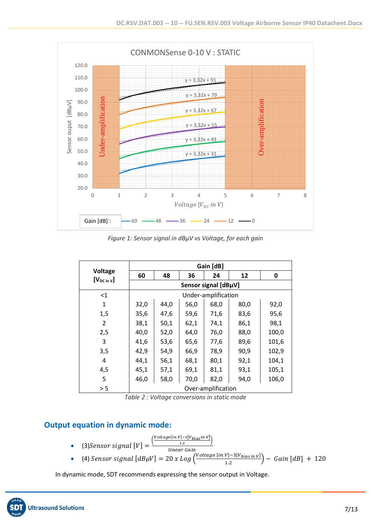

*Figure 1: Sensor signal in dBµV vs Voltage, for each gain*

|                                   |                      |      |      | Gain [dB]           |      |       |
|-----------------------------------|----------------------|------|------|---------------------|------|-------|
| <b>Voltage</b><br>$[V_{DC in V}]$ | 60                   | 48   | 36   | 24                  | 12   | 0     |
|                                   | Sensor signal [dBµV] |      |      |                     |      |       |
| $<$ 1                             |                      |      |      | Under-amplification |      |       |
| 1                                 | 32,0                 | 44,0 | 56,0 | 68,0                | 80,0 | 92,0  |
| 1,5                               | 35,6                 | 47,6 | 59,6 | 71,6                | 83,6 | 95,6  |
| $\overline{2}$                    | 38,1                 | 50,1 | 62,1 | 74,1                | 86,1 | 98,1  |
| 2,5                               | 40,0                 | 52,0 | 64,0 | 76,0                | 88,0 | 100,0 |
| 3                                 | 41,6                 | 53,6 | 65,6 | 77,6                | 89,6 | 101,6 |
| 3,5                               | 42,9                 | 54,9 | 66,9 | 78,9                | 90,9 | 102,9 |
| 4                                 | 44,1                 | 56,1 | 68,1 | 80,1                | 92,1 | 104,1 |
| 4,5                               | 45,1                 | 57,1 | 69,1 | 81,1                | 93,1 | 105,1 |
| 5                                 | 46,0                 | 58,0 | 70,0 | 82,0                | 94,0 | 106,0 |
| > 5                               |                      |      |      | Over-amplification  |      |       |

*Table 2 : Voltage conversions in static mode*

### **Output equation in dynamic mode:**

- $(3)$ Sensor signal  $[V] =$  $\left(\frac{Voltage [in\ V]-3[V_{bias}in\ V]}{1.2}\right)$ linear Gain
- (4) Sensor signal  $[dB\mu V] = 20$  x  $Log\left(\frac{Voltage [in V] 3[V_{bias in V}]}{12}\right)$  $\left(\frac{V_1 - S_1 V_{bias} \ln V_1}{1.2}\right) - Gain \left[dB\right] + 120$

In dynamic mode, SDT recommends expressing the sensor output in Voltage.

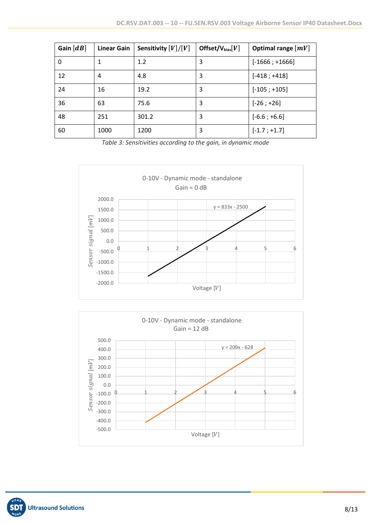| Gain $[dB]$ | <b>Linear Gain</b> | Sensitivity $[V]/[V]$ | Offset/ $V_{bias}[V]$ | Optimal range $[mV]$ |
|-------------|--------------------|-----------------------|-----------------------|----------------------|
| 0           | 1                  | 1.2                   | 3                     | $[-1666; +1666]$     |
| 12          | 4                  | 4.8                   | 3                     | $[-418; +418]$       |
| 24          | 16                 | 19.2                  | 3                     | $[-105; +105]$       |
| 36          | 63                 | 75.6                  | 3                     | $[-26; +26]$         |
| 48          | 251                | 301.2                 | 3                     | $[-6.6; +6.6]$       |
| 60          | 1000               | 1200                  | 3                     | $[-1.7; +1.7]$       |

*Table 3: Sensitivities according to the gain, in dynamic mode*



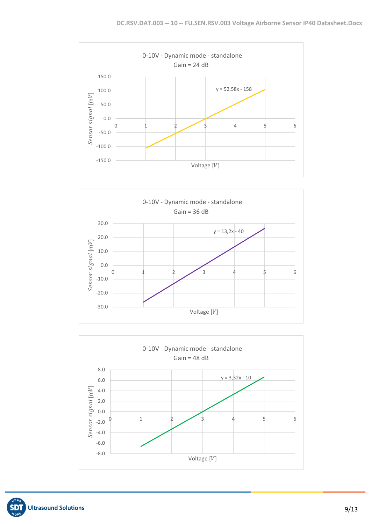





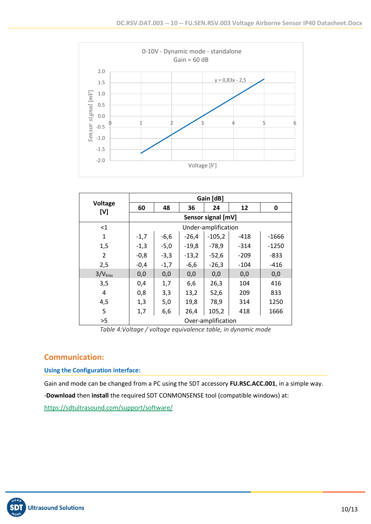

|                |                    |        |         | Gain [dB]           |        |         |
|----------------|--------------------|--------|---------|---------------------|--------|---------|
| Voltage<br>[V] | 60                 | 48     | 36      | 24                  | 12     | 0       |
|                | Sensor signal [mV] |        |         |                     |        |         |
| <1             |                    |        |         | Under-amplification |        |         |
| $\mathbf{1}$   | $-1,7$             | $-6,6$ | $-26,4$ | $-105,2$            | -418   | $-1666$ |
| 1,5            | $-1,3$             | $-5,0$ | $-19,8$ | $-78.9$             | $-314$ | $-1250$ |
| $\overline{2}$ | $-0,8$             | $-3,3$ | $-13,2$ | $-52,6$             | $-209$ | $-833$  |
| 2,5            | $-0,4$             | $-1,7$ | $-6,6$  | $-26,3$             | $-104$ | $-416$  |
| $3/V_{bias}$   | 0,0                | 0,0    | 0,0     | 0,0                 | 0,0    | 0,0     |
| 3,5            | 0,4                | 1,7    | 6,6     | 26,3                | 104    | 416     |
| 4              | 0,8                | 3,3    | 13,2    | 52,6                | 209    | 833     |
| 4,5            | 1,3                | 5,0    | 19,8    | 78,9                | 314    | 1250    |
| 5              | 1,7                | 6,6    | 26,4    | 105,2               | 418    | 1666    |
| >5             |                    |        |         | Over-amplification  |        |         |

*Table 4:Voltage / voltage equivalence table, in dynamic mode*

### **Communication:**

**Using the Configuration interface:**

Gain and mode can be changed from a PC using the SDT accessory **FU.RSC.ACC.001**, in a simple way. -**Download** then **install** the required SDT CONMONSENSE tool (compatible windows) at: <https://sdtultrasound.com/support/software/>

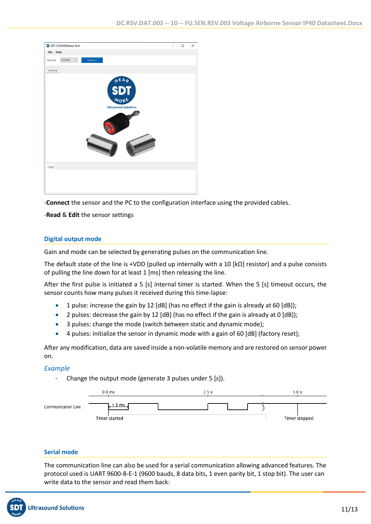

-**Connect** the sensor and the PC to the configuration interface using the provided cables.

-**Read** & **Edit** the sensor settings

#### **Digital output mode**

Gain and mode can be selected by generating pulses on the communication line.

The default state of the line is +VDD (pulled up internally with a 10  $\kappa$ Q] resistor) and a pulse consists of pulling the line down for at least 1 [ms] then releasing the line.

After the first pulse is initiated a 5 [s] internal timer is started. When the 5 [s] timeout occurs, the sensor counts how many pulses it received during this time-lapse:

- 1 pulse: increase the gain by 12 [dB] (has no effect if the gain is already at 60 [dB]);
- 2 pulses: decrease the gain by 12 [dB] (has no effect if the gain is already at 0 [dB]);
- 3 pulses: change the mode (switch between static and dynamic mode);
- 4 pulses: initialize the sensor in dynamic mode with a gain of 60 [dB] (factory reset);

After any modification, data are saved inside a non-volatile memory and are restored on sensor power on.

### *Example*

Change the output mode (generate 3 pulses under 5 [s]).



#### **Serial mode**

The communication line can also be used for a serial communication allowing advanced features. The protocol used is UART 9600-8-E-1 (9600 bauds, 8 data bits, 1 even parity bit, 1 stop bit). The user can write data to the sensor and read them back:

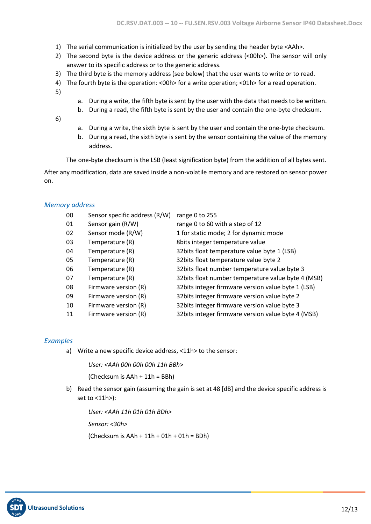- 1) The serial communication is initialized by the user by sending the header byte <AAh>.
- 2) The second byte is the device address or the generic address (<00h>). The sensor will only answer to its specific address or to the generic address.
- 3) The third byte is the memory address (see below) that the user wants to write or to read.
- 4) The fourth byte is the operation: <00h> for a write operation; <01h> for a read operation.
- 5)
- a. During a write, the fifth byte is sent by the user with the data that needs to be written.
- b. During a read, the fifth byte is sent by the user and contain the one-byte checksum.
- 6)
- a. During a write, the sixth byte is sent by the user and contain the one-byte checksum.
- b. During a read, the sixth byte is sent by the sensor containing the value of the memory address.

The one-byte checksum is the LSB (least signification byte) from the addition of all bytes sent.

After any modification, data are saved inside a non-volatile memory and are restored on sensor power on.

#### *Memory address*

| 00 | Sensor specific address (R/W) | range 0 to 255                                      |
|----|-------------------------------|-----------------------------------------------------|
| 01 | Sensor gain (R/W)             | range 0 to 60 with a step of 12                     |
| 02 | Sensor mode (R/W)             | 1 for static mode; 2 for dynamic mode               |
| 03 | Temperature (R)               | 8bits integer temperature value                     |
| 04 | Temperature (R)               | 32bits float temperature value byte 1 (LSB)         |
| 05 | Temperature (R)               | 32bits float temperature value byte 2               |
| 06 | Temperature (R)               | 32 bits float number temperature value byte 3       |
| 07 | Temperature (R)               | 32 bits float number temperature value byte 4 (MSB) |
| 08 | Firmware version (R)          | 32bits integer firmware version value byte 1 (LSB)  |
| 09 | Firmware version (R)          | 32 bits integer firmware version value byte 2       |
| 10 | Firmware version (R)          | 32bits integer firmware version value byte 3        |
| 11 | Firmware version (R)          | 32bits integer firmware version value byte 4 (MSB)  |

#### *Examples*

a) Write a new specific device address, <11h> to the sensor:

*User: <AAh 00h 00h 00h 11h BBh>*

(Checksum is AAh + 11h = BBh)

b) Read the sensor gain (assuming the gain is set at 48 [dB] and the device specific address is set to <11h>):

*User: <AAh 11h 01h 01h BDh> Sensor: <30h>* (Checksum is  $AAh + 11h + 01h + 01h = BDh$ )